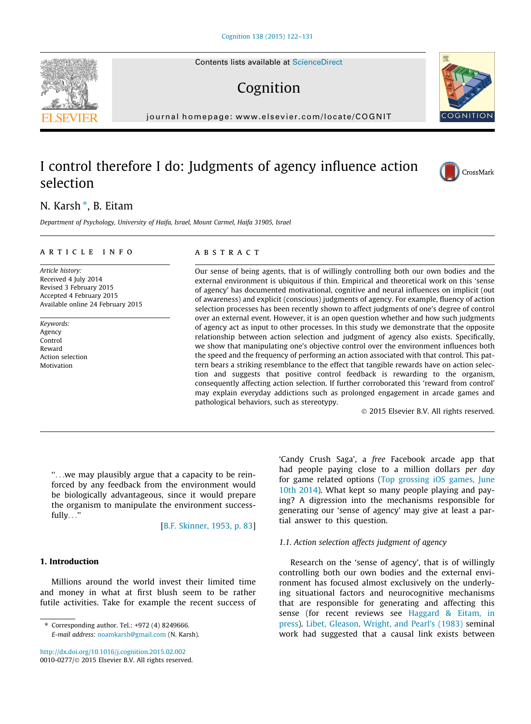Contents lists available at [ScienceDirect](http://www.sciencedirect.com/science/journal/00100277)

# Cognition

journal homepage: [www.elsevier.com/locate/COGNIT](http://www.elsevier.com/locate/COGNIT)

## I control therefore I do: Judgments of agency influence action selection

## N. Karsh  $^*$ , B. Eitam

Department of Psychology, University of Haifa, Israel, Mount Carmel, Haifa 31905, Israel

#### article info

Article history: Received 4 July 2014 Revised 3 February 2015 Accepted 4 February 2015 Available online 24 February 2015

Keywords: Agency Control Reward Action selection **Motivation** 

#### **ABSTRACT**

Our sense of being agents, that is of willingly controlling both our own bodies and the external environment is ubiquitous if thin. Empirical and theoretical work on this 'sense of agency' has documented motivational, cognitive and neural influences on implicit (out of awareness) and explicit (conscious) judgments of agency. For example, fluency of action selection processes has been recently shown to affect judgments of one's degree of control over an external event. However, it is an open question whether and how such judgments of agency act as input to other processes. In this study we demonstrate that the opposite relationship between action selection and judgment of agency also exists. Specifically, we show that manipulating one's objective control over the environment influences both the speed and the frequency of performing an action associated with that control. This pattern bears a striking resemblance to the effect that tangible rewards have on action selection and suggests that positive control feedback is rewarding to the organism, consequently affecting action selection. If further corroborated this 'reward from control' may explain everyday addictions such as prolonged engagement in arcade games and pathological behaviors, such as stereotypy.

- 2015 Elsevier B.V. All rights reserved.

''...we may plausibly argue that a capacity to be reinforced by any feedback from the environment would be biologically advantageous, since it would prepare the organism to manipulate the environment successfully...''

[[B.F. Skinner, 1953, p. 83](#page-9-0)]

#### 1. Introduction

Millions around the world invest their limited time and money in what at first blush seem to be rather futile activities. Take for example the recent success of

⇑ Corresponding author. Tel.: +972 (4) 8249666. E-mail address: [noamkarsh@gmail.com](mailto:noamkarsh@gmail.com) (N. Karsh).

<http://dx.doi.org/10.1016/j.cognition.2015.02.002> 0010-0277/© 2015 Elsevier B.V. All rights reserved. 'Candy Crush Saga', a free Facebook arcade app that had people paying close to a million dollars per day for game related options ([Top grossing iOS games, June](#page-9-0) [10th 2014\)](#page-9-0). What kept so many people playing and paying? A digression into the mechanisms responsible for generating our 'sense of agency' may give at least a partial answer to this question.

#### 1.1. Action selection affects judgment of agency

Research on the 'sense of agency', that is of willingly controlling both our own bodies and the external environment has focused almost exclusively on the underlying situational factors and neurocognitive mechanisms that are responsible for generating and affecting this sense (for recent reviews see [Haggard & Eitam, in](#page-9-0) [press\)](#page-9-0). [Libet, Gleason, Wright, and Pearl's \(1983\)](#page-9-0) seminal work had suggested that a causal link exists between





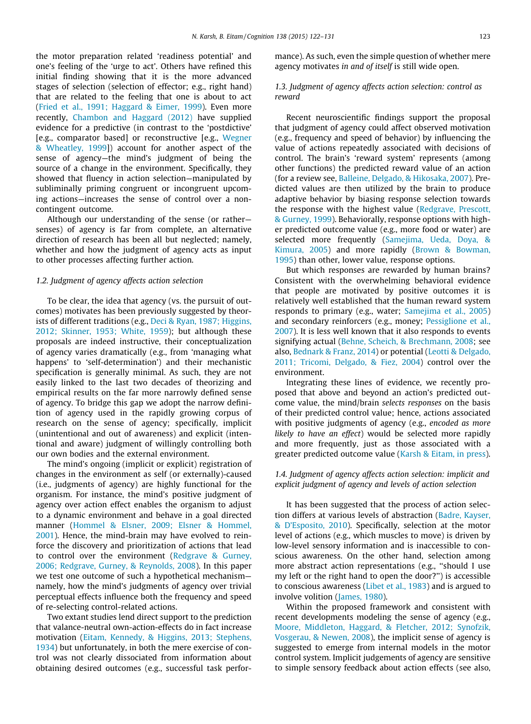the motor preparation related 'readiness potential' and one's feeling of the 'urge to act'. Others have refined this initial finding showing that it is the more advanced stages of selection (selection of effector; e.g., right hand) that are related to the feeling that one is about to act ([Fried et al., 1991; Haggard & Eimer, 1999](#page-9-0)). Even more recently, [Chambon and Haggard \(2012\)](#page-9-0) have supplied evidence for a predictive (in contrast to the 'postdictive' [e.g., comparator based] or reconstructive [e.g., [Wegner](#page-9-0) [& Wheatley, 1999\]](#page-9-0)) account for another aspect of the sense of agency—the mind's judgment of being the source of a change in the environment. Specifically, they showed that fluency in action selection—manipulated by subliminally priming congruent or incongruent upcoming actions—increases the sense of control over a noncontingent outcome.

Although our understanding of the sense (or rather senses) of agency is far from complete, an alternative direction of research has been all but neglected; namely, whether and how the judgment of agency acts as input to other processes affecting further action.

## 1.2. Judgment of agency affects action selection

To be clear, the idea that agency (vs. the pursuit of outcomes) motivates has been previously suggested by theorists of different traditions (e.g., [Deci & Ryan, 1987; Higgins,](#page-9-0) [2012; Skinner, 1953; White, 1959\)](#page-9-0); but although these proposals are indeed instructive, their conceptualization of agency varies dramatically (e.g., from 'managing what happens' to 'self-determination') and their mechanistic specification is generally minimal. As such, they are not easily linked to the last two decades of theorizing and empirical results on the far more narrowly defined sense of agency. To bridge this gap we adopt the narrow definition of agency used in the rapidly growing corpus of research on the sense of agency; specifically, implicit (unintentional and out of awareness) and explicit (intentional and aware) judgment of willingly controlling both our own bodies and the external environment.

The mind's ongoing (implicit or explicit) registration of changes in the environment as self (or externally)-caused (i.e., judgments of agency) are highly functional for the organism. For instance, the mind's positive judgment of agency over action effect enables the organism to adjust to a dynamic environment and behave in a goal directed manner ([Hommel & Elsner, 2009; Elsner & Hommel,](#page-9-0) [2001\)](#page-9-0). Hence, the mind-brain may have evolved to reinforce the discovery and prioritization of actions that lead to control over the environment ([Redgrave & Gurney,](#page-9-0) [2006; Redgrave, Gurney, & Reynolds, 2008\)](#page-9-0). In this paper we test one outcome of such a hypothetical mechanism namely, how the mind's judgments of agency over trivial perceptual effects influence both the frequency and speed of re-selecting control-related actions.

Two extant studies lend direct support to the prediction that valance-neutral own-action-effects do in fact increase motivation [\(Eitam, Kennedy, & Higgins, 2013; Stephens,](#page-9-0) [1934\)](#page-9-0) but unfortunately, in both the mere exercise of control was not clearly dissociated from information about obtaining desired outcomes (e.g., successful task performance). As such, even the simple question of whether mere agency motivates in and of itself is still wide open.

## 1.3. Judgment of agency affects action selection: control as reward

Recent neuroscientific findings support the proposal that judgment of agency could affect observed motivation (e.g., frequency and speed of behavior) by influencing the value of actions repeatedly associated with decisions of control. The brain's 'reward system' represents (among other functions) the predicted reward value of an action (for a review see, [Balleine, Delgado, & Hikosaka, 2007\)](#page-8-0). Predicted values are then utilized by the brain to produce adaptive behavior by biasing response selection towards the response with the highest value [\(Redgrave, Prescott,](#page-9-0) [& Gurney, 1999](#page-9-0)). Behaviorally, response options with higher predicted outcome value (e.g., more food or water) are selected more frequently [\(Samejima, Ueda, Doya, &](#page-9-0) [Kimura, 2005](#page-9-0)) and more rapidly ([Brown & Bowman,](#page-9-0) [1995\)](#page-9-0) than other, lower value, response options.

But which responses are rewarded by human brains? Consistent with the overwhelming behavioral evidence that people are motivated by positive outcomes it is relatively well established that the human reward system responds to primary (e.g., water; [Samejima et al., 2005](#page-9-0)) and secondary reinforcers (e.g., money; [Pessiglione et al.,](#page-9-0) [2007\)](#page-9-0). It is less well known that it also responds to events signifying actual [\(Behne, Scheich, & Brechmann, 2008](#page-8-0); see also, [Bednark & Franz, 2014](#page-8-0)) or potential [\(Leotti & Delgado,](#page-9-0) [2011; Tricomi, Delgado, & Fiez, 2004\)](#page-9-0) control over the environment.

Integrating these lines of evidence, we recently proposed that above and beyond an action's predicted outcome value, the mind/brain selects responses on the basis of their predicted control value; hence, actions associated with positive judgments of agency (e.g., encoded as more likely to have an effect) would be selected more rapidly and more frequently, just as those associated with a greater predicted outcome value ([Karsh & Eitam, in press](#page-9-0)).

## 1.4. Judgment of agency affects action selection: implicit and explicit judgment of agency and levels of action selection

It has been suggested that the process of action selection differs at various levels of abstraction ([Badre, Kayser,](#page-8-0) [& D'Esposito, 2010](#page-8-0)). Specifically, selection at the motor level of actions (e.g., which muscles to move) is driven by low-level sensory information and is inaccessible to conscious awareness. On the other hand, selection among more abstract action representations (e.g., ''should I use my left or the right hand to open the door?'') is accessible to conscious awareness [\(Libet et al., 1983\)](#page-9-0) and is argued to involve volition ([James, 1980\)](#page-9-0).

Within the proposed framework and consistent with recent developments modeling the sense of agency (e.g., [Moore, Middleton, Haggard, & Fletcher, 2012; Synofzik,](#page-9-0) [Vosgerau, & Newen, 2008\)](#page-9-0), the implicit sense of agency is suggested to emerge from internal models in the motor control system. Implicit judgements of agency are sensitive to simple sensory feedback about action effects (see also,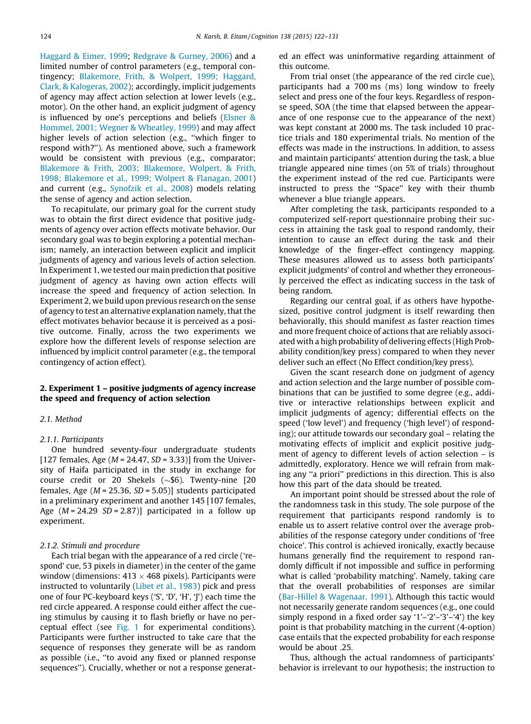[Haggard & Eimer, 1999;](#page-9-0) [Redgrave & Gurney, 2006\)](#page-9-0) and a limited number of control parameters (e.g., temporal contingency; [Blakemore, Frith, & Wolpert, 1999; Haggard,](#page-8-0) [Clark, & Kalogeras, 2002](#page-8-0)); accordingly, implicit judgements of agency may affect action selection at lower levels (e.g., motor). On the other hand, an explicit judgment of agency is influenced by one's perceptions and beliefs [\(Elsner &](#page-9-0) [Hommel, 2001; Wegner & Wheatley, 1999](#page-9-0)) and may affect higher levels of action selection (e.g., ''which finger to respond with?''). As mentioned above, such a framework would be consistent with previous (e.g., comparator; [Blakemore & Frith, 2003; Blakemore, Wolpert, & Frith,](#page-8-0) [1998; Blakemore et al., 1999; Wolpert & Flanagan, 2001](#page-8-0)) and current (e.g., [Synofzik et al., 2008](#page-9-0)) models relating the sense of agency and action selection.

To recapitulate, our primary goal for the current study was to obtain the first direct evidence that positive judgments of agency over action effects motivate behavior. Our secondary goal was to begin exploring a potential mechanism; namely, an interaction between explicit and implicit judgments of agency and various levels of action selection. In Experiment 1, we tested our main prediction that positive judgment of agency as having own action effects will increase the speed and frequency of action selection. In Experiment 2, we build upon previous research on the sense of agency to test an alternative explanation namely, that the effect motivates behavior because it is perceived as a positive outcome. Finally, across the two experiments we explore how the different levels of response selection are influenced by implicit control parameter (e.g., the temporal contingency of action effect).

## 2. Experiment 1 – positive judgments of agency increase the speed and frequency of action selection

#### 2.1. Method

## 2.1.1. Participants

One hundred seventy-four undergraduate students [127 females, Age ( $M = 24.47$ ,  $SD = 3.33$ )] from the University of Haifa participated in the study in exchange for course credit or 20 Shekels  $(\sim 16)$ . Twenty-nine [20 females, Age ( $M = 25.36$ ,  $SD = 5.05$ )] students participated in a preliminary experiment and another 145 [107 females, Age  $(M = 24.29 \text{ SD} = 2.87)$ ] participated in a follow up experiment.

## 2.1.2. Stimuli and procedure

Each trial began with the appearance of a red circle ('respond' cue, 53 pixels in diameter) in the center of the game window (dimensions:  $413 \times 468$  pixels). Participants were instructed to voluntarily [\(Libet et al., 1983](#page-9-0)) pick and press one of four PC-keyboard keys ('S', 'D', 'H', 'J') each time the red circle appeared. A response could either affect the cueing stimulus by causing it to flash briefly or have no perceptual effect (see [Fig. 1](#page-3-0) for experimental conditions). Participants were further instructed to take care that the sequence of responses they generate will be as random as possible (i.e., ''to avoid any fixed or planned response sequences''). Crucially, whether or not a response generated an effect was uninformative regarding attainment of this outcome.

From trial onset (the appearance of the red circle cue), participants had a 700 ms (ms) long window to freely select and press one of the four keys. Regardless of response speed, SOA (the time that elapsed between the appearance of one response cue to the appearance of the next) was kept constant at 2000 ms. The task included 10 practice trials and 180 experimental trials. No mention of the effects was made in the instructions. In addition, to assess and maintain participants' attention during the task, a blue triangle appeared nine times (on 5% of trials) throughout the experiment instead of the red cue. Participants were instructed to press the ''Space'' key with their thumb whenever a blue triangle appears.

After completing the task, participants responded to a computerized self-report questionnaire probing their success in attaining the task goal to respond randomly, their intention to cause an effect during the task and their knowledge of the finger-effect contingency mapping. These measures allowed us to assess both participants' explicit judgments' of control and whether they erroneously perceived the effect as indicating success in the task of being random.

Regarding our central goal, if as others have hypothesized, positive control judgment is itself rewarding then behaviorally, this should manifest as faster reaction times and more frequent choice of actions that are reliably associated with a high probability of delivering effects (High Probability condition/key press) compared to when they never deliver such an effect (No Effect condition/key press).

Given the scant research done on judgment of agency and action selection and the large number of possible combinations that can be justified to some degree (e.g., additive or interactive relationships between explicit and implicit judgments of agency; differential effects on the speed ('low level') and frequency ('high level') of responding); our attitude towards our secondary goal – relating the motivating effects of implicit and explicit positive judgment of agency to different levels of action selection – is admittedly, exploratory. Hence we will refrain from making any ''a priori'' predictions in this direction. This is also how this part of the data should be treated.

An important point should be stressed about the role of the randomness task in this study. The sole purpose of the requirement that participants respond randomly is to enable us to assert relative control over the average probabilities of the response category under conditions of 'free choice'. This control is achieved ironically, exactly because humans generally find the requirement to respond randomly difficult if not impossible and suffice in performing what is called 'probability matching'. Namely, taking care that the overall probabilities of responses are similar [\(Bar-Hillel & Wagenaar, 1991](#page-8-0)). Although this tactic would not necessarily generate random sequences (e.g., one could simply respond in a fixed order say '1'–'2'–'3'–'4') the key point is that probability matching in the current (4-option) case entails that the expected probability for each response would be about .25.

Thus, although the actual randomness of participants' behavior is irrelevant to our hypothesis; the instruction to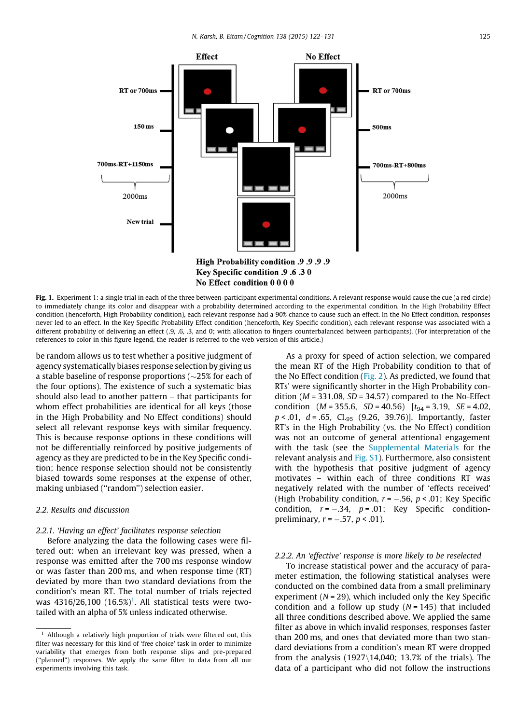<span id="page-3-0"></span>

Fig. 1. Experiment 1: a single trial in each of the three between-participant experimental conditions. A relevant response would cause the cue (a red circle) to immediately change its color and disappear with a probability determined according to the experimental condition. In the High Probability Effect condition (henceforth, High Probability condition), each relevant response had a 90% chance to cause such an effect. In the No Effect condition, responses never led to an effect. In the Key Specific Probability Effect condition (henceforth, Key Specific condition), each relevant response was associated with a different probability of delivering an effect (.9, .6, .3, and 0; with allocation to fingers counterbalanced between participants). (For interpretation of the references to color in this figure legend, the reader is referred to the web version of this article.)

be random allows us to test whether a positive judgment of agency systematically biases response selection by giving us a stable baseline of response proportions (  $\sim\!\!25\%$  for each of the four options). The existence of such a systematic bias should also lead to another pattern – that participants for whom effect probabilities are identical for all keys (those in the High Probability and No Effect conditions) should select all relevant response keys with similar frequency. This is because response options in these conditions will not be differentially reinforced by positive judgements of agency as they are predicted to be in the Key Specific condition; hence response selection should not be consistently biased towards some responses at the expense of other, making unbiased (''random'') selection easier.

## 2.2. Results and discussion

#### 2.2.1. 'Having an effect' facilitates response selection

Before analyzing the data the following cases were filtered out: when an irrelevant key was pressed, when a response was emitted after the 700 ms response window or was faster than 200 ms, and when response time (RT) deviated by more than two standard deviations from the condition's mean RT. The total number of trials rejected was  $4316/26,100$   $(16.5\%)^1$ . All statistical tests were twotailed with an alpha of 5% unless indicated otherwise.

As a proxy for speed of action selection, we compared the mean RT of the High Probability condition to that of the No Effect condition [\(Fig. 2\)](#page-4-0). As predicted, we found that RTs' were significantly shorter in the High Probability condition ( $M = 331.08$ ,  $SD = 34.57$ ) compared to the No-Effect condition  $(M = 355.6, SD = 40.56)$   $[t_{94} = 3.19, SE = 4.02,$  $p < .01$ ,  $d = .65$ , CL<sub>95</sub> (9.26, 39.76)]. Importantly, faster RT's in the High Probability (vs. the No Effect) condition was not an outcome of general attentional engagement with the task (see the Supplemental Materials for the relevant analysis and Fig. S1). Furthermore, also consistent with the hypothesis that positive judgment of agency motivates – within each of three conditions RT was negatively related with the number of 'effects received' (High Probability condition,  $r = -.56$ ,  $p < .01$ ; Key Specific condition,  $r = -.34$ ,  $p = .01$ ; Key Specific conditionpreliminary,  $r = -.57$ ,  $p < .01$ ).

#### 2.2.2. An 'effective' response is more likely to be reselected

To increase statistical power and the accuracy of parameter estimation, the following statistical analyses were conducted on the combined data from a small preliminary experiment ( $N = 29$ ), which included only the Key Specific condition and a follow up study  $(N = 145)$  that included all three conditions described above. We applied the same filter as above in which invalid responses, responses faster than 200 ms, and ones that deviated more than two standard deviations from a condition's mean RT were dropped from the analysis  $(1927\backslash14,040; 13.7%$  of the trials). The data of a participant who did not follow the instructions

 $1$  Although a relatively high proportion of trials were filtered out, this filter was necessary for this kind of 'free choice' task in order to minimize variability that emerges from both response slips and pre-prepared (''planned'') responses. We apply the same filter to data from all our experiments involving this task.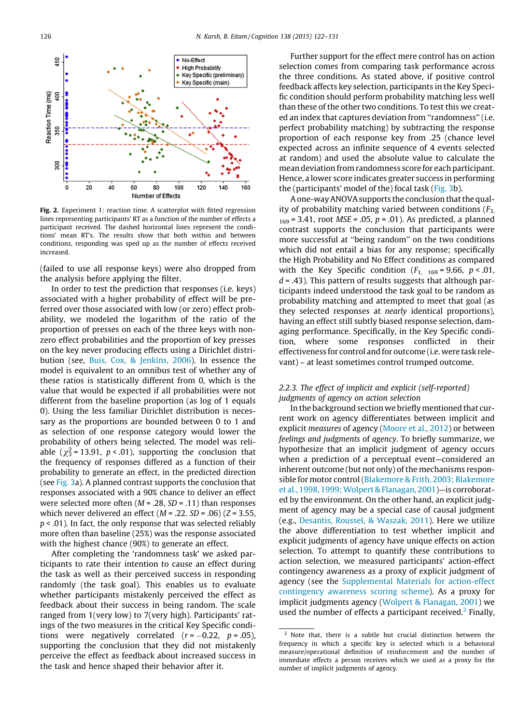<span id="page-4-0"></span>

Fig. 2. Experiment 1: reaction time. A scatterplot with fitted regression lines representing participants' RT as a function of the number of effects a participant received. The dashed horizontal lines represent the conditions' mean RT's. The results show that both within and between conditions, responding was sped up as the number of effects received increased.

(failed to use all response keys) were also dropped from the analysis before applying the filter.

In order to test the prediction that responses (i.e. keys) associated with a higher probability of effect will be preferred over those associated with low (or zero) effect probability, we modeled the logarithm of the ratio of the proportion of presses on each of the three keys with nonzero effect probabilities and the proportion of key presses on the key never producing effects using a Dirichlet distribution (see, [Buis, Cox, & Jenkins, 2006\)](#page-9-0). In essence the model is equivalent to an omnibus test of whether any of these ratios is statistically different from 0, which is the value that would be expected if all probabilities were not different from the baseline proportion (as log of 1 equals 0). Using the less familiar Dirichlet distribution is necessary as the proportions are bounded between 0 to 1 and as selection of one response category would lower the probability of others being selected. The model was reliable ( $\chi^2$  = 13.91, p < .01), supporting the conclusion that the frequency of responses differed as a function of their probability to generate an effect, in the predicted direction (see [Fig. 3](#page-5-0)a). A planned contrast supports the conclusion that responses associated with a 90% chance to deliver an effect were selected more often  $(M = .28, SD = .11)$  than responses which never delivered an effect  $(M = .22, SD = .06)$  ( $Z = 3.55$ ,  $p < .01$ ). In fact, the only response that was selected reliably more often than baseline (25%) was the response associated with the highest chance (90%) to generate an effect.

After completing the 'randomness task' we asked participants to rate their intention to cause an effect during the task as well as their perceived success in responding randomly (the task goal). This enables us to evaluate whether participants mistakenly perceived the effect as feedback about their success in being random. The scale ranged from 1(very low) to 7(very high). Participants' ratings of the two measures in the critical Key Specific conditions were negatively correlated  $(r = -0.22, p = .05)$ , supporting the conclusion that they did not mistakenly perceive the effect as feedback about increased success in the task and hence shaped their behavior after it.

Further support for the effect mere control has on action selection comes from comparing task performance across the three conditions. As stated above, if positive control feedback affects key selection, participants in the Key Specific condition should perform probability matching less well than these of the other two conditions. To test this we created an index that captures deviation from ''randomness'' (i.e. perfect probability matching) by subtracting the response proportion of each response key from .25 (chance level expected across an infinite sequence of 4 events selected at random) and used the absolute value to calculate the mean deviation from randomness score for each participant. Hence, a lower score indicates greater success in performing the (participants' model of the) focal task [\(Fig. 3b](#page-5-0)).

A one-way ANOVA supports the conclusion that the quality of probability matching varied between conditions  $(F_3)$  $_{169}$  = 3.41, root MSE = .05, p = .01). As predicted, a planned contrast supports the conclusion that participants were more successful at ''being random'' on the two conditions which did not entail a bias for any response; specifically the High Probability and No Effect conditions as compared with the Key Specific condition  $(F_{1, 169} = 9.66, p < .01,$  $d = .43$ ). This pattern of results suggests that although participants indeed understood the task goal to be random as probability matching and attempted to meet that goal (as they selected responses at nearly identical proportions), having an effect still subtly biased response selection, damaging performance. Specifically, in the Key Specific condition, where some responses conflicted in their effectiveness for control and for outcome (i.e. were task relevant) – at least sometimes control trumped outcome.

## 2.2.3. The effect of implicit and explicit (self-reported) judgments of agency on action selection

In the background section we briefly mentioned that current work on agency differentiates between implicit and explicit measures of agency ([Moore et al., 2012](#page-9-0)) or between feelings and judgments of agency. To briefly summarize, we hypothesize that an implicit judgment of agency occurs when a prediction of a perceptual event—considered an inherent outcome (but not only) of the mechanisms responsible for motor control ([Blakemore & Frith, 2003; Blakemore](#page-8-0) [et al., 1998, 1999;Wolpert & Flanagan, 2001](#page-8-0))—is corroborated by the environment. On the other hand, an explicit judgment of agency may be a special case of causal judgment (e.g., [Desantis, Roussel, & Waszak, 2011\)](#page-9-0). Here we utilize the above differentiation to test whether implicit and explicit judgments of agency have unique effects on action selection. To attempt to quantify these contributions to action selection, we measured participants' action-effect contingency awareness as a proxy of explicit judgment of agency (see the Supplemental Materials for action-effect contingency awareness scoring scheme). As a proxy for implicit judgments agency [\(Wolpert & Flanagan, 2001\)](#page-9-0) we used the number of effects a participant received. $\epsilon$  Finally,

<sup>2</sup> Note that, there is a subtle but crucial distinction between the frequency in which a specific key is selected which is a behavioral measure/operational definition of reinforcement and the number of immediate effects a person receives which we used as a proxy for the number of implicit judgments of agency.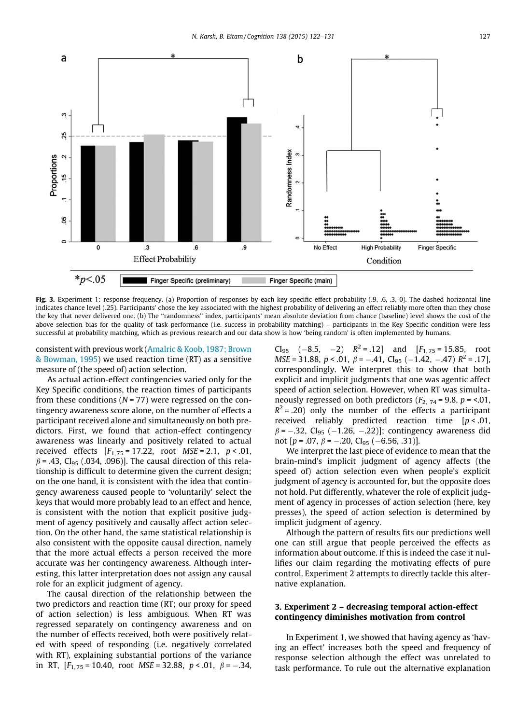<span id="page-5-0"></span>

Fig. 3. Experiment 1: response frequency. (a) Proportion of responses by each key-specific effect probability (.9, .6, .3, 0). The dashed horizontal line indicates chance level (.25). Participants' chose the key associated with the highest probability of delivering an effect reliably more often than they chose the key that never delivered one. (b) The ''randomness'' index, participants' mean absolute deviation from chance (baseline) level shows the cost of the above selection bias for the quality of task performance (i.e. success in probability matching) - participants in the Key Specific condition were less successful at probability matching, which as previous research and our data show is how 'being random' is often implemented by humans.

consistent with previous work [\(Amalric & Koob, 1987; Brown](#page-8-0) [& Bowman, 1995](#page-8-0)) we used reaction time (RT) as a sensitive measure of (the speed of) action selection.

As actual action-effect contingencies varied only for the Key Specific conditions, the reaction times of participants from these conditions ( $N = 77$ ) were regressed on the contingency awareness score alone, on the number of effects a participant received alone and simultaneously on both predictors. First, we found that action-effect contingency awareness was linearly and positively related to actual received effects  $[F_{1,75} = 17.22,$  root  $MSE = 2.1, p < .01,$  $\beta$  = .43, CI<sub>95</sub> (.034, .096)]. The causal direction of this relationship is difficult to determine given the current design; on the one hand, it is consistent with the idea that contingency awareness caused people to 'voluntarily' select the keys that would more probably lead to an effect and hence, is consistent with the notion that explicit positive judgment of agency positively and causally affect action selection. On the other hand, the same statistical relationship is also consistent with the opposite causal direction, namely that the more actual effects a person received the more accurate was her contingency awareness. Although interesting, this latter interpretation does not assign any causal role for an explicit judgment of agency.

The causal direction of the relationship between the two predictors and reaction time (RT; our proxy for speed of action selection) is less ambiguous. When RT was regressed separately on contingency awareness and on the number of effects received, both were positively related with speed of responding (i.e. negatively correlated with RT), explaining substantial portions of the variance in RT,  $[F_{1,75} = 10.40$ , root MSE = 32.88,  $p < .01$ ,  $\beta = -.34$ ,

 $Cl_{95}$  (-8.5, -2)  $R^2 = .12$ ] and  $[F_{1,75} = 15.85,$  root  $MSE = 31.88$ ,  $p < .01$ ,  $\beta = -.41$ ,  $Cl_{95}$  (-1.42, -.47)  $R^2 = .17$ ], correspondingly. We interpret this to show that both explicit and implicit judgments that one was agentic affect speed of action selection. However, when RT was simultaneously regressed on both predictors  $(F_2, 74 = 9.8, p = 0.01,$  $R^2$  = .20) only the number of the effects a participant received reliably predicted reaction time  $[p < .01]$ ,  $\beta$  = -.32, CI<sub>95</sub> (-1.26, -.22)]; contingency awareness did not  $[p = .07, \beta = -.20, Cl<sub>95</sub> (-6.56, .31)].$ 

We interpret the last piece of evidence to mean that the brain-mind's implicit judgment of agency affects (the speed of) action selection even when people's explicit judgment of agency is accounted for, but the opposite does not hold. Put differently, whatever the role of explicit judgment of agency in processes of action selection (here, key presses), the speed of action selection is determined by implicit judgment of agency.

Although the pattern of results fits our predictions well one can still argue that people perceived the effects as information about outcome. If this is indeed the case it nullifies our claim regarding the motivating effects of pure control. Experiment 2 attempts to directly tackle this alternative explanation.

## 3. Experiment 2 – decreasing temporal action-effect contingency diminishes motivation from control

In Experiment 1, we showed that having agency as 'having an effect' increases both the speed and frequency of response selection although the effect was unrelated to task performance. To rule out the alternative explanation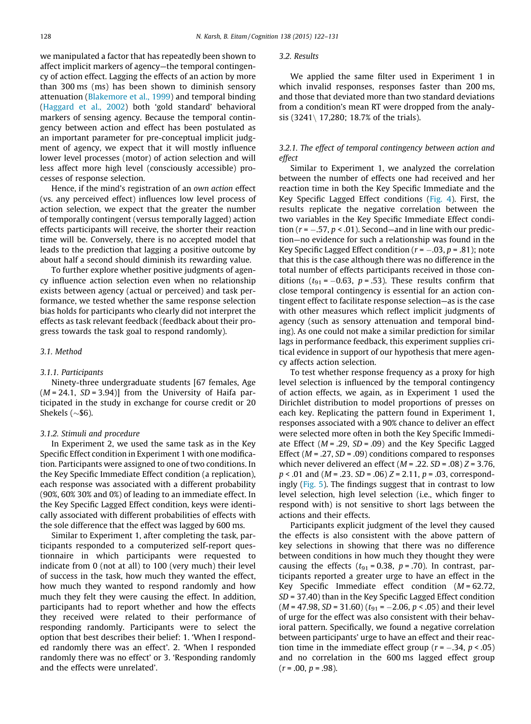we manipulated a factor that has repeatedly been shown to affect implicit markers of agency—the temporal contingency of action effect. Lagging the effects of an action by more than 300 ms (ms) has been shown to diminish sensory attenuation [\(Blakemore et al., 1999\)](#page-8-0) and temporal binding [\(Haggard et al., 2002](#page-9-0)) both 'gold standard' behavioral markers of sensing agency. Because the temporal contingency between action and effect has been postulated as an important parameter for pre-conceptual implicit judgment of agency, we expect that it will mostly influence lower level processes (motor) of action selection and will less affect more high level (consciously accessible) processes of response selection.

Hence, if the mind's registration of an own action effect (vs. any perceived effect) influences low level process of action selection, we expect that the greater the number of temporally contingent (versus temporally lagged) action effects participants will receive, the shorter their reaction time will be. Conversely, there is no accepted model that leads to the prediction that lagging a positive outcome by about half a second should diminish its rewarding value.

To further explore whether positive judgments of agency influence action selection even when no relationship exists between agency (actual or perceived) and task performance, we tested whether the same response selection bias holds for participants who clearly did not interpret the effects as task relevant feedback (feedback about their progress towards the task goal to respond randomly).

## 3.1. Method

#### 3.1.1. Participants

Ninety-three undergraduate students [67 females, Age  $(M = 24.1, SD = 3.94)$ ] from the University of Haifa participated in the study in exchange for course credit or 20 Shekels ( $\sim$ \$6).

#### 3.1.2. Stimuli and procedure

In Experiment 2, we used the same task as in the Key Specific Effect condition in Experiment 1 with one modification. Participants were assigned to one of two conditions. In the Key Specific Immediate Effect condition (a replication), each response was associated with a different probability (90%, 60% 30% and 0%) of leading to an immediate effect. In the Key Specific Lagged Effect condition, keys were identically associated with different probabilities of effects with the sole difference that the effect was lagged by 600 ms.

Similar to Experiment 1, after completing the task, participants responded to a computerized self-report questionnaire in which participants were requested to indicate from 0 (not at all) to 100 (very much) their level of success in the task, how much they wanted the effect, how much they wanted to respond randomly and how much they felt they were causing the effect. In addition, participants had to report whether and how the effects they received were related to their performance of responding randomly. Participants were to select the option that best describes their belief: 1. 'When I responded randomly there was an effect'. 2. 'When I responded randomly there was no effect' or 3. 'Responding randomly and the effects were unrelated'.

## 3.2. Results

We applied the same filter used in Experiment 1 in which invalid responses, responses faster than 200 ms, and those that deviated more than two standard deviations from a condition's mean RT were dropped from the analysis  $(3241 \mid 17,280; 18.7%$  of the trials).

## 3.2.1. The effect of temporal contingency between action and effect

Similar to Experiment 1, we analyzed the correlation between the number of effects one had received and her reaction time in both the Key Specific Immediate and the Key Specific Lagged Effect conditions ([Fig. 4\)](#page-7-0). First, the results replicate the negative correlation between the two variables in the Key Specific Immediate Effect condition ( $r = -.57$ ,  $p < .01$ ). Second—and in line with our prediction—no evidence for such a relationship was found in the Key Specific Lagged Effect condition ( $r = -.03$ ,  $p = .81$ ); note that this is the case although there was no difference in the total number of effects participants received in those conditions ( $t_{91}$  = -0.63,  $p$  = .53). These results confirm that close temporal contingency is essential for an action contingent effect to facilitate response selection—as is the case with other measures which reflect implicit judgments of agency (such as sensory attenuation and temporal binding). As one could not make a similar prediction for similar lags in performance feedback, this experiment supplies critical evidence in support of our hypothesis that mere agency affects action selection.

To test whether response frequency as a proxy for high level selection is influenced by the temporal contingency of action effects, we again, as in Experiment 1 used the Dirichlet distribution to model proportions of presses on each key. Replicating the pattern found in Experiment 1, responses associated with a 90% chance to deliver an effect were selected more often in both the Key Specific Immediate Effect  $(M = .29, SD = .09)$  and the Key Specific Lagged Effect ( $M = .27$ ,  $SD = .09$ ) conditions compared to responses which never delivered an effect ( $M = .22$ ,  $SD = .08$ )  $Z = 3.76$ ,  $p < .01$  and ( $M = .23$ ,  $SD = .06$ )  $Z = 2.11$ ,  $p = .03$ , correspondingly ([Fig. 5\)](#page-7-0). The findings suggest that in contrast to low level selection, high level selection (i.e., which finger to respond with) is not sensitive to short lags between the actions and their effects.

Participants explicit judgment of the level they caused the effects is also consistent with the above pattern of key selections in showing that there was no difference between conditions in how much they thought they were causing the effects ( $t_{91}$  = 0.38, p = .70). In contrast, participants reported a greater urge to have an effect in the Key Specific Immediate effect condition  $(M = 62.72)$ , SD = 37.40) than in the Key Specific Lagged Effect condition  $(M = 47.98, SD = 31.60)$   $(t_{91} = -2.06, p < .05)$  and their level of urge for the effect was also consistent with their behavioral pattern. Specifically, we found a negative correlation between participants' urge to have an effect and their reaction time in the immediate effect group ( $r = -.34$ ,  $p < .05$ ) and no correlation in the 600 ms lagged effect group  $(r = .00, p = .98)$ .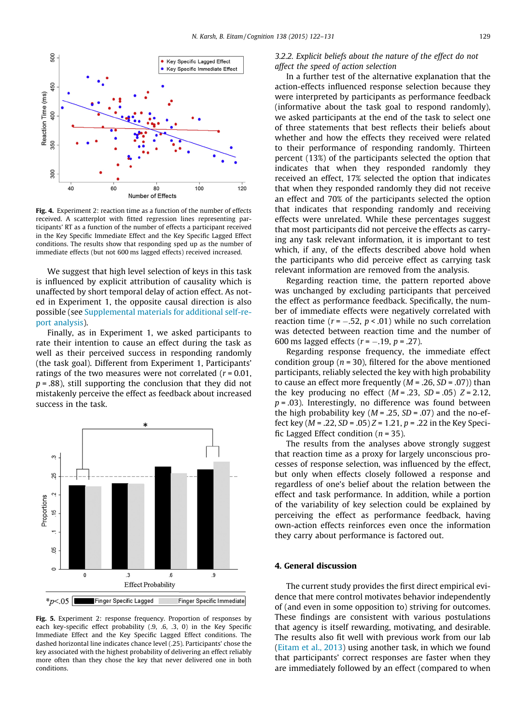<span id="page-7-0"></span>

Fig. 4. Experiment 2: reaction time as a function of the number of effects received. A scatterplot with fitted regression lines representing participants' RT as a function of the number of effects a participant received in the Key Specific Immediate Effect and the Key Specific Lagged Effect conditions. The results show that responding sped up as the number of immediate effects (but not 600 ms lagged effects) received increased.

We suggest that high level selection of keys in this task is influenced by explicit attribution of causality which is unaffected by short temporal delay of action effect. As noted in Experiment 1, the opposite causal direction is also possible (see Supplemental materials for additional self-report analysis).

Finally, as in Experiment 1, we asked participants to rate their intention to cause an effect during the task as well as their perceived success in responding randomly (the task goal). Different from Experiment 1, Participants' ratings of the two measures were not correlated  $(r = 0.01,$  $p = .88$ ), still supporting the conclusion that they did not mistakenly perceive the effect as feedback about increased success in the task.



Fig. 5. Experiment 2: response frequency. Proportion of responses by each key-specific effect probability (.9, .6, .3, 0) in the Key Specific Immediate Effect and the Key Specific Lagged Effect conditions. The dashed horizontal line indicates chance level (.25). Participants' chose the key associated with the highest probability of delivering an effect reliably more often than they chose the key that never delivered one in both conditions.

## 3.2.2. Explicit beliefs about the nature of the effect do not affect the speed of action selection

In a further test of the alternative explanation that the action-effects influenced response selection because they were interpreted by participants as performance feedback (informative about the task goal to respond randomly), we asked participants at the end of the task to select one of three statements that best reflects their beliefs about whether and how the effects they received were related to their performance of responding randomly. Thirteen percent (13%) of the participants selected the option that indicates that when they responded randomly they received an effect, 17% selected the option that indicates that when they responded randomly they did not receive an effect and 70% of the participants selected the option that indicates that responding randomly and receiving effects were unrelated. While these percentages suggest that most participants did not perceive the effects as carrying any task relevant information, it is important to test which, if any, of the effects described above hold when the participants who did perceive effect as carrying task relevant information are removed from the analysis.

Regarding reaction time, the pattern reported above was unchanged by excluding participants that perceived the effect as performance feedback. Specifically, the number of immediate effects were negatively correlated with reaction time ( $r = -.52$ ,  $p < .01$ ) while no such correlation was detected between reaction time and the number of 600 ms lagged effects ( $r = -.19$ ,  $p = .27$ ).

Regarding response frequency, the immediate effect condition group ( $n = 30$ ), filtered for the above mentioned participants, reliably selected the key with high probability to cause an effect more frequently  $(M = .26, SD = .07)$ ) than the key producing no effect  $(M = .23, SD = .05)$   $Z = 2.12$ ,  $p = .03$ ). Interestingly, no difference was found between the high probability key ( $M = .25$ ,  $SD = .07$ ) and the no-effect key ( $M = .22$ ,  $SD = .05$ )  $Z = 1.21$ ,  $p = .22$  in the Key Specific Lagged Effect condition ( $n = 35$ ).

The results from the analyses above strongly suggest that reaction time as a proxy for largely unconscious processes of response selection, was influenced by the effect, but only when effects closely followed a response and regardless of one's belief about the relation between the effect and task performance. In addition, while a portion of the variability of key selection could be explained by perceiving the effect as performance feedback, having own-action effects reinforces even once the information they carry about performance is factored out.

## 4. General discussion

The current study provides the first direct empirical evidence that mere control motivates behavior independently of (and even in some opposition to) striving for outcomes. These findings are consistent with various postulations that agency is itself rewarding, motivating, and desirable. The results also fit well with previous work from our lab [\(Eitam et al., 2013](#page-9-0)) using another task, in which we found that participants' correct responses are faster when they are immediately followed by an effect (compared to when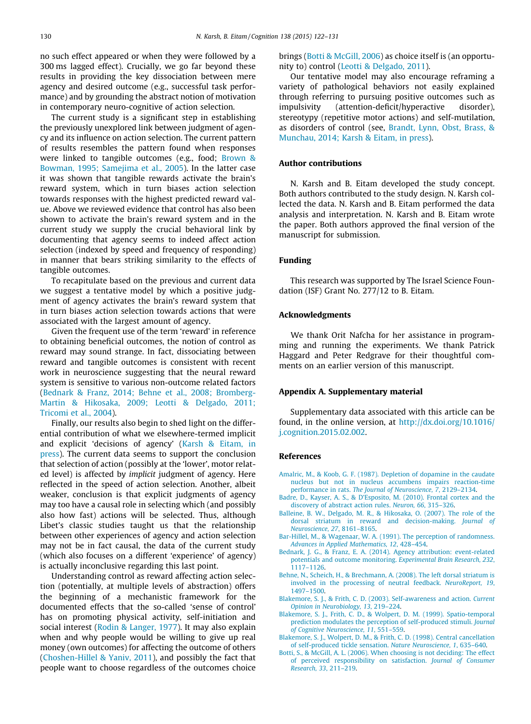<span id="page-8-0"></span>no such effect appeared or when they were followed by a 300 ms lagged effect). Crucially, we go far beyond these results in providing the key dissociation between mere agency and desired outcome (e.g., successful task performance) and by grounding the abstract notion of motivation in contemporary neuro-cognitive of action selection.

The current study is a significant step in establishing the previously unexplored link between judgment of agency and its influence on action selection. The current pattern of results resembles the pattern found when responses were linked to tangible outcomes (e.g., food; [Brown &](#page-9-0) [Bowman, 1995; Samejima et al., 2005](#page-9-0)). In the latter case it was shown that tangible rewards activate the brain's reward system, which in turn biases action selection towards responses with the highest predicted reward value. Above we reviewed evidence that control has also been shown to activate the brain's reward system and in the current study we supply the crucial behavioral link by documenting that agency seems to indeed affect action selection (indexed by speed and frequency of responding) in manner that bears striking similarity to the effects of tangible outcomes.

To recapitulate based on the previous and current data we suggest a tentative model by which a positive judgment of agency activates the brain's reward system that in turn biases action selection towards actions that were associated with the largest amount of agency.

Given the frequent use of the term 'reward' in reference to obtaining beneficial outcomes, the notion of control as reward may sound strange. In fact, dissociating between reward and tangible outcomes is consistent with recent work in neuroscience suggesting that the neural reward system is sensitive to various non-outcome related factors (Bednark & Franz, 2014; Behne et al., 2008; Bromberg-Martin & Hikosaka, 2009; Leotti & Delgado, 2011; Tricomi et al., 2004).

Finally, our results also begin to shed light on the differential contribution of what we elsewhere-termed implicit and explicit 'decisions of agency' ([Karsh & Eitam, in](#page-9-0) [press\)](#page-9-0). The current data seems to support the conclusion that selection of action (possibly at the 'lower', motor related level) is affected by implicit judgment of agency. Here reflected in the speed of action selection. Another, albeit weaker, conclusion is that explicit judgments of agency may too have a causal role in selecting which (and possibly also how fast) actions will be selected. Thus, although Libet's classic studies taught us that the relationship between other experiences of agency and action selection may not be in fact causal, the data of the current study (which also focuses on a different 'experience' of agency) is actually inconclusive regarding this last point.

Understanding control as reward affecting action selection (potentially, at multiple levels of abstraction) offers the beginning of a mechanistic framework for the documented effects that the so-called 'sense of control' has on promoting physical activity, self-initiation and social interest [\(Rodin & Langer, 1977\)](#page-9-0). It may also explain when and why people would be willing to give up real money (own outcomes) for affecting the outcome of others [\(Choshen-Hillel & Yaniv, 2011](#page-9-0)), and possibly the fact that people want to choose regardless of the outcomes choice

brings (Botti & McGill, 2006) as choice itself is (an opportunity to) control ([Leotti & Delgado, 2011](#page-9-0)).

Our tentative model may also encourage reframing a variety of pathological behaviors not easily explained through referring to pursuing positive outcomes such as impulsivity (attention-deficit/hyperactive disorder), stereotypy (repetitive motor actions) and self-mutilation, as disorders of control (see, [Brandt, Lynn, Obst, Brass, &](#page-9-0) [Munchau, 2014; Karsh & Eitam, in press\)](#page-9-0).

## Author contributions

N. Karsh and B. Eitam developed the study concept. Both authors contributed to the study design. N. Karsh collected the data. N. Karsh and B. Eitam performed the data analysis and interpretation. N. Karsh and B. Eitam wrote the paper. Both authors approved the final version of the manuscript for submission.

## Funding

This research was supported by The Israel Science Foundation (ISF) Grant No. 277/12 to B. Eitam.

#### Acknowledgments

We thank Orit Nafcha for her assistance in programming and running the experiments. We thank Patrick Haggard and Peter Redgrave for their thoughtful comments on an earlier version of this manuscript.

## Appendix A. Supplementary material

Supplementary data associated with this article can be found, in the online version, at [http://dx.doi.org/10.1016/](http://dx.doi.org/10.1016/j.cognition.2015.02.002) [j.cognition.2015.02.002](http://dx.doi.org/10.1016/j.cognition.2015.02.002).

## References

- [Amalric, M., & Koob, G. F. \(1987\). Depletion of dopamine in the caudate](http://refhub.elsevier.com/S0010-0277(15)00026-8/h0005) [nucleus but not in nucleus accumbens impairs reaction-time](http://refhub.elsevier.com/S0010-0277(15)00026-8/h0005) performance in rats. [The Journal of Neuroscience, 7](http://refhub.elsevier.com/S0010-0277(15)00026-8/h0005), 2129–2134.
- [Badre, D., Kayser, A. S., & D'Esposito, M. \(2010\). Frontal cortex and the](http://refhub.elsevier.com/S0010-0277(15)00026-8/h0010) [discovery of abstract action rules.](http://refhub.elsevier.com/S0010-0277(15)00026-8/h0010) Neuron, 66, 315–326.
- [Balleine, B. W., Delgado, M. R., & Hikosaka, O. \(2007\). The role of the](http://refhub.elsevier.com/S0010-0277(15)00026-8/h0015) [dorsal striatum in reward and decision-making.](http://refhub.elsevier.com/S0010-0277(15)00026-8/h0015) Journal of [Neuroscience, 27](http://refhub.elsevier.com/S0010-0277(15)00026-8/h0015), 8161–8165.
- [Bar-Hillel, M., & Wagenaar, W. A. \(1991\). The perception of randomness.](http://refhub.elsevier.com/S0010-0277(15)00026-8/h0020) [Advances in Applied Mathematics, 12](http://refhub.elsevier.com/S0010-0277(15)00026-8/h0020), 428–454.
- [Bednark, J. G., & Franz, E. A. \(2014\). Agency attribution: event-related](http://refhub.elsevier.com/S0010-0277(15)00026-8/h0025) [potentials and outcome monitoring.](http://refhub.elsevier.com/S0010-0277(15)00026-8/h0025) Experimental Brain Research, 232, [1117–1126.](http://refhub.elsevier.com/S0010-0277(15)00026-8/h0025)
- [Behne, N., Scheich, H., & Brechmann, A. \(2008\). The left dorsal striatum is](http://refhub.elsevier.com/S0010-0277(15)00026-8/h0030) [involved in the processing of neutral feedback.](http://refhub.elsevier.com/S0010-0277(15)00026-8/h0030) NeuroReport, 19, [1497–1500](http://refhub.elsevier.com/S0010-0277(15)00026-8/h0030).
- [Blakemore, S. J., & Frith, C. D. \(2003\). Self-awareness and action.](http://refhub.elsevier.com/S0010-0277(15)00026-8/h0035) Current [Opinion in Neurobiology, 13](http://refhub.elsevier.com/S0010-0277(15)00026-8/h0035), 219–224.
- [Blakemore, S. J., Frith, C. D., & Wolpert, D. M. \(1999\). Spatio-temporal](http://refhub.elsevier.com/S0010-0277(15)00026-8/h0040) [prediction modulates the perception of self-produced stimuli.](http://refhub.elsevier.com/S0010-0277(15)00026-8/h0040) Journal [of Cognitive Neuroscience, 11](http://refhub.elsevier.com/S0010-0277(15)00026-8/h0040), 551–559.
- [Blakemore, S. J., Wolpert, D. M., & Frith, C. D. \(1998\). Central cancellation](http://refhub.elsevier.com/S0010-0277(15)00026-8/h0045) [of self-produced tickle sensation.](http://refhub.elsevier.com/S0010-0277(15)00026-8/h0045) Nature Neuroscience, 1, 635–640.
- [Botti, S., & McGill, A. L. \(2006\). When choosing is not deciding: The effect](http://refhub.elsevier.com/S0010-0277(15)00026-8/h0050) [of perceived responsibility on satisfaction.](http://refhub.elsevier.com/S0010-0277(15)00026-8/h0050) Journal of Consumer [Research, 33](http://refhub.elsevier.com/S0010-0277(15)00026-8/h0050), 211–219.